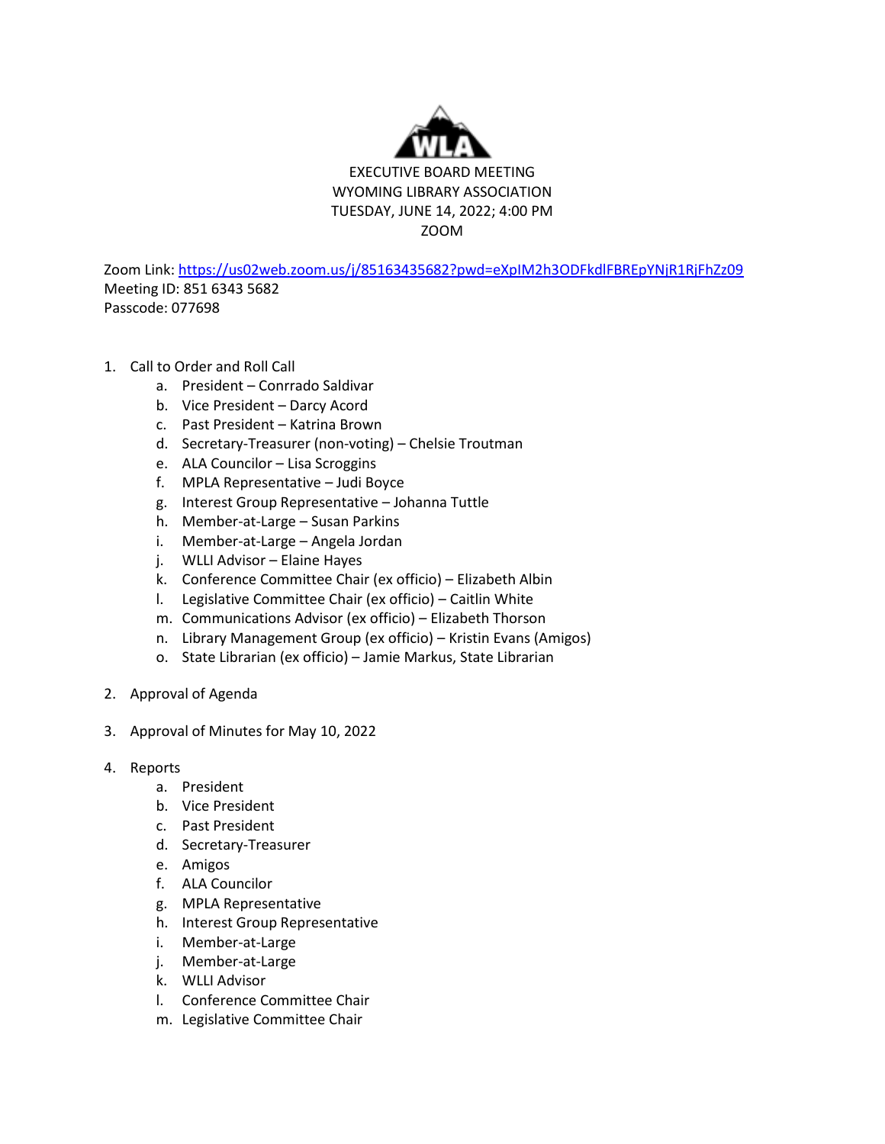

Zoom Link[: https://us02web.zoom.us/j/85163435682?pwd=eXpIM2h3ODFkdlFBREpYNjR1RjFhZz09](https://us02web.zoom.us/j/85163435682?pwd=eXpIM2h3ODFkdlFBREpYNjR1RjFhZz09) Meeting ID: 851 6343 5682 Passcode: 077698

- 1. Call to Order and Roll Call
	- a. President Conrrado Saldivar
	- b. Vice President Darcy Acord
	- c. Past President Katrina Brown
	- d. Secretary-Treasurer (non-voting) Chelsie Troutman
	- e. ALA Councilor Lisa Scroggins
	- f. MPLA Representative Judi Boyce
	- g. Interest Group Representative Johanna Tuttle
	- h. Member-at-Large Susan Parkins
	- i. Member-at-Large Angela Jordan
	- j. WLLI Advisor Elaine Hayes
	- k. Conference Committee Chair (ex officio) Elizabeth Albin
	- l. Legislative Committee Chair (ex officio) Caitlin White
	- m. Communications Advisor (ex officio) Elizabeth Thorson
	- n. Library Management Group (ex officio) Kristin Evans (Amigos)
	- o. State Librarian (ex officio) Jamie Markus, State Librarian
- 2. Approval of Agenda
- 3. Approval of Minutes for May 10, 2022
- 4. Reports
	- a. President
	- b. Vice President
	- c. Past President
	- d. Secretary-Treasurer
	- e. Amigos
	- f. ALA Councilor
	- g. MPLA Representative
	- h. Interest Group Representative
	- i. Member-at-Large
	- j. Member-at-Large
	- k. WLLI Advisor
	- l. Conference Committee Chair
	- m. Legislative Committee Chair